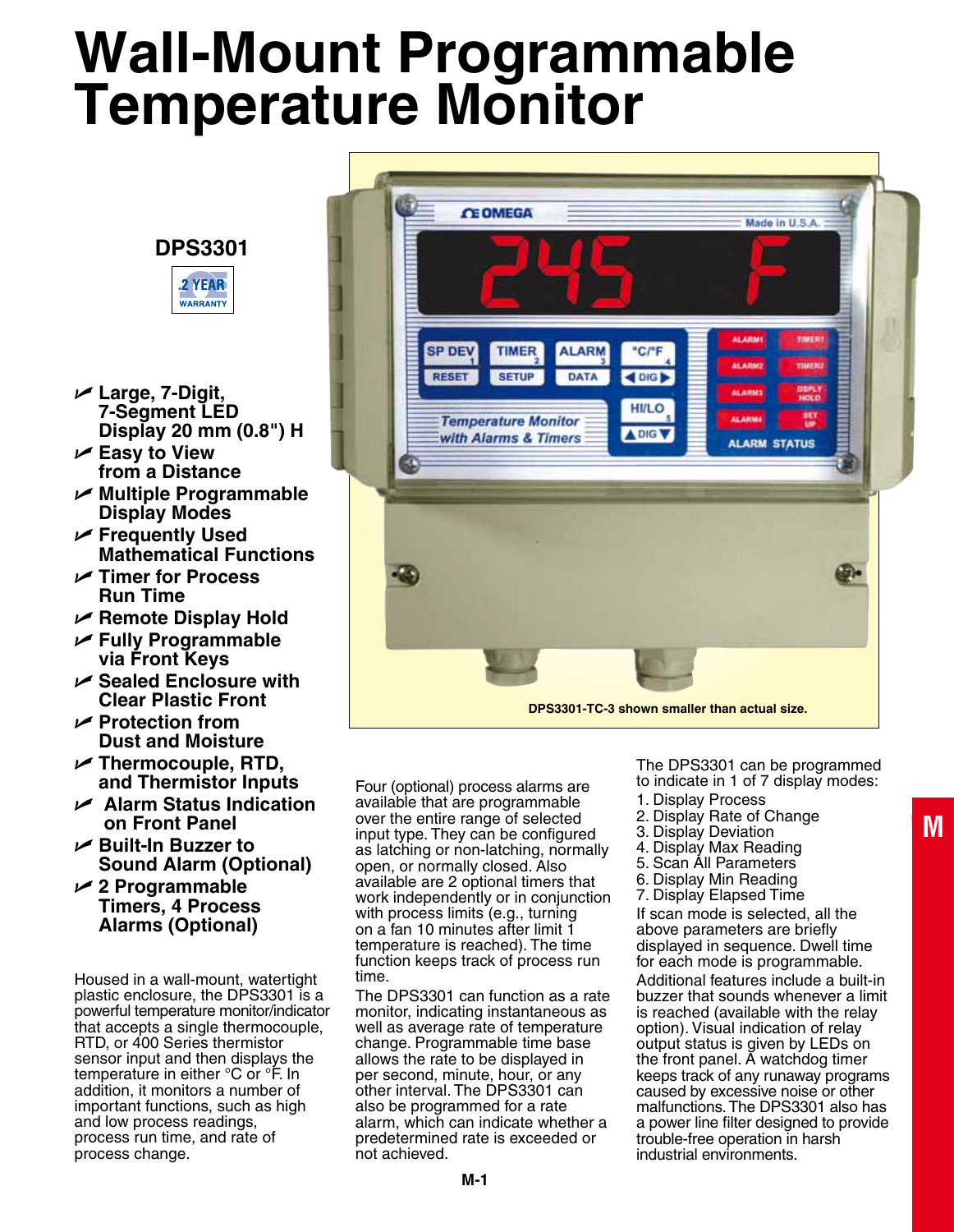# **Wall-Mount Programmable Temperature Monitor**

### **DPS3301**



- U **Large, 7-Digit, 7-Segment LED Display 20 mm (0.8") H**
- U **Easy to View from a Distance**
- U **Multiple Programmable Display Modes**
- U **Frequently Used Mathematical Functions**
- U **Timer for Process Run Time**
- U **Remote Display Hold**
- U **Fully Programmable via Front Keys**
- U **Sealed Enclosure with Clear Plastic Front**
- U **Protection from Dust and Moisture**
- U **Thermocouple, RTD, and Thermistor Inputs**
- U **Alarm Status Indication on Front Panel**
- U **Built-In Buzzer to Sound Alarm (Optional)**
- U **2 Programmable Timers, 4 Process Alarms (Optional)**

Housed in a wall-mount, watertight plastic enclosure, the DPS3301 is a powerful temperature monitor/indicator that accepts a single thermocouple, RTD, or 400 Series thermistor sensor input and then displays the temperature in either °C or °F. In addition, it monitors a number of important functions, such as high and low process readings, process run time, and rate of process change.



Four (optional) process alarms are available that are programmable over the entire range of selected input type. They can be configured as latching or non-latching, normally open, or normally closed. Also available are 2 optional timers that work independently or in conjunction with process limits (e.g., turning on a fan 10 minutes after limit 1 temperature is reached). The time function keeps track of process run time.

The DPS3301 can function as a rate monitor, indicating instantaneous as well as average rate of temperature change. Programmable time base allows the rate to be displayed in per second, minute, hour, or any other interval. The DPS3301 can also be programmed for a rate alarm, which can indicate whether a predetermined rate is exceeded or not achieved.

The DPS3301 can be programmed to indicate in 1 of 7 display modes:

- 1. Display Process
- 2. Display Rate of Change
- 3. Display Deviation
- 4. Display Max Reading
- 5. Scan All Parameters
- 6. Display Min Reading
- 7. Display Elapsed Time

If scan mode is selected, all the above parameters are briefly displayed in sequence. Dwell time for each mode is programmable.

Additional features include a built-in buzzer that sounds whenever a limit is reached (available with the relay option). Visual indication of relay output status is given by LEDs on the front panel. A watchdog timer keeps track of any runaway programs caused by excessive noise or other malfunctions. The DPS3301 also has a power line filter designed to provide trouble-free operation in harsh industrial environments.

**M**